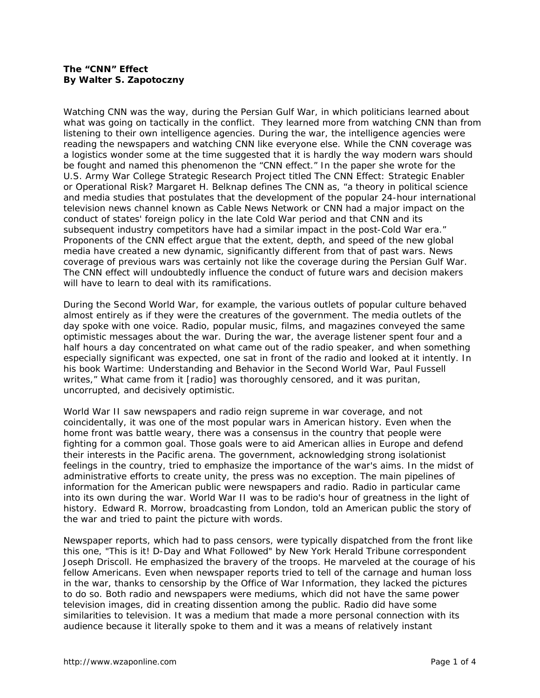## **The "CNN" Effect By Walter S. Zapotoczny**

Watching CNN was the way, during the Persian Gulf War, in which politicians learned about what was going on tactically in the conflict. They learned more from watching CNN than from listening to their own intelligence agencies. During the war, the intelligence agencies were reading the newspapers and watching CNN like everyone else. While the CNN coverage was a logistics wonder some at the time suggested that it is hardly the way modern wars should be fought and named this phenomenon the "CNN effect." In the paper she wrote for the U.S. Army War College Strategic Research Project titled *The CNN Effect: Strategic Enabler or Operational Risk?* Margaret H. Belknap defines The CNN as, "a theory in political science and media studies that postulates that the development of the popular 24-hour international television news channel known as Cable News Network or CNN had a major impact on the conduct of states' foreign policy in the late Cold War period and that CNN and its subsequent industry competitors have had a similar impact in the post-Cold War era." Proponents of the CNN effect argue that the extent, depth, and speed of the new global media have created a new dynamic, significantly different from that of past wars. News coverage of previous wars was certainly not like the coverage during the Persian Gulf War. The CNN effect will undoubtedly influence the conduct of future wars and decision makers will have to learn to deal with its ramifications.

During the Second World War, for example, the various outlets of popular culture behaved almost entirely as if they were the creatures of the government. The media outlets of the day spoke with one voice. Radio, popular music, films, and magazines conveyed the same optimistic messages about the war. During the war, the average listener spent four and a half hours a day concentrated on what came out of the radio speaker, and when something especially significant was expected, one sat in front of the radio and looked at it intently. In his book *Wartime: Understanding and Behavior in the Second World War*, Paul Fussell writes," What came from it [radio] was thoroughly censored, and it was puritan, uncorrupted, and decisively optimistic.

World War II saw newspapers and radio reign supreme in war coverage, and not coincidentally, it was one of the most popular wars in American history. Even when the home front was battle weary, there was a consensus in the country that people were fighting for a common goal. Those goals were to aid American allies in Europe and defend their interests in the Pacific arena. The government, acknowledging strong isolationist feelings in the country, tried to emphasize the importance of the war's aims. In the midst of administrative efforts to create unity, the press was no exception. The main pipelines of information for the American public were newspapers and radio. Radio in particular came into its own during the war. World War II was to be radio's hour of greatness in the light of history. Edward R. Morrow, broadcasting from London, told an American public the story of the war and tried to paint the picture with words.

Newspaper reports, which had to pass censors, were typically dispatched from the front like this one, "This is it! D-Day and What Followed" by *New York Herald Tribune* correspondent Joseph Driscoll. He emphasized the bravery of the troops. He marveled at the courage of his fellow Americans. Even when newspaper reports tried to tell of the carnage and human loss in the war, thanks to censorship by the Office of War Information, they lacked the pictures to do so. Both radio and newspapers were mediums, which did not have the same power television images, did in creating dissention among the public. Radio did have some similarities to television. It was a medium that made a more personal connection with its audience because it literally spoke to them and it was a means of relatively instant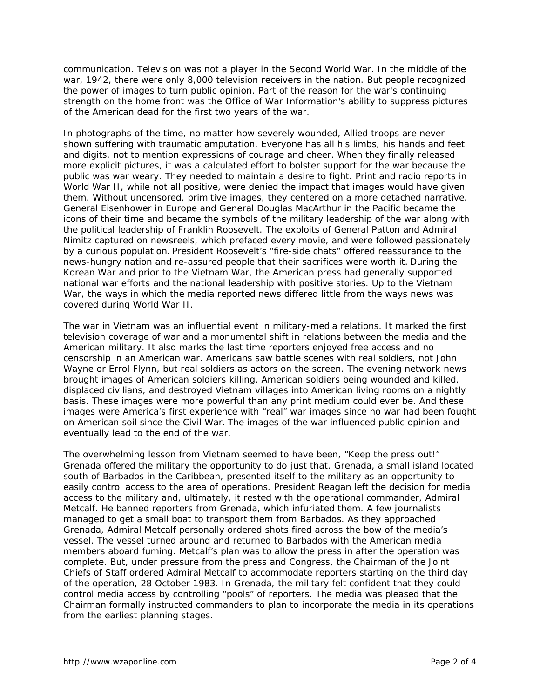communication. Television was not a player in the Second World War. In the middle of the war, 1942, there were only 8,000 television receivers in the nation. But people recognized the power of images to turn public opinion. Part of the reason for the war's continuing strength on the home front was the Office of War Information's ability to suppress pictures of the American dead for the first two years of the war.

In photographs of the time, no matter how severely wounded, Allied troops are never shown suffering with traumatic amputation. Everyone has all his limbs, his hands and feet and digits, not to mention expressions of courage and cheer. When they finally released more explicit pictures, it was a calculated effort to bolster support for the war because the public was war weary. They needed to maintain a desire to fight. Print and radio reports in World War II, while not all positive, were denied the impact that images would have given them. Without uncensored, primitive images, they centered on a more detached narrative. General Eisenhower in Europe and General Douglas MacArthur in the Pacific became the icons of their time and became the symbols of the military leadership of the war along with the political leadership of Franklin Roosevelt. The exploits of General Patton and Admiral Nimitz captured on newsreels, which prefaced every movie, and were followed passionately by a curious population. President Roosevelt's "fire-side chats" offered reassurance to the news-hungry nation and re-assured people that their sacrifices were worth it. During the Korean War and prior to the Vietnam War, the American press had generally supported national war efforts and the national leadership with positive stories. Up to the Vietnam War, the ways in which the media reported news differed little from the ways news was covered during World War II.

The war in Vietnam was an influential event in military-media relations. It marked the first television coverage of war and a monumental shift in relations between the media and the American military. It also marks the last time reporters enjoyed free access and no censorship in an American war. Americans saw battle scenes with real soldiers, not John Wayne or Errol Flynn, but real soldiers as actors on the screen. The evening network news brought images of American soldiers killing, American soldiers being wounded and killed, displaced civilians, and destroyed Vietnam villages into American living rooms on a nightly basis. These images were more powerful than any print medium could ever be. And these images were America's first experience with "real" war images since no war had been fought on American soil since the Civil War. The images of the war influenced public opinion and eventually lead to the end of the war.

The overwhelming lesson from Vietnam seemed to have been, "Keep the press out!" Grenada offered the military the opportunity to do just that. Grenada, a small island located south of Barbados in the Caribbean, presented itself to the military as an opportunity to easily control access to the area of operations. President Reagan left the decision for media access to the military and, ultimately, it rested with the operational commander, Admiral Metcalf. He banned reporters from Grenada, which infuriated them. A few journalists managed to get a small boat to transport them from Barbados. As they approached Grenada, Admiral Metcalf personally ordered shots fired across the bow of the media's vessel. The vessel turned around and returned to Barbados with the American media members aboard fuming. Metcalf's plan was to allow the press in after the operation was complete. But, under pressure from the press and Congress, the Chairman of the Joint Chiefs of Staff ordered Admiral Metcalf to accommodate reporters starting on the third day of the operation, 28 October 1983. In Grenada, the military felt confident that they could control media access by controlling "pools" of reporters. The media was pleased that the Chairman formally instructed commanders to plan to incorporate the media in its operations from the earliest planning stages.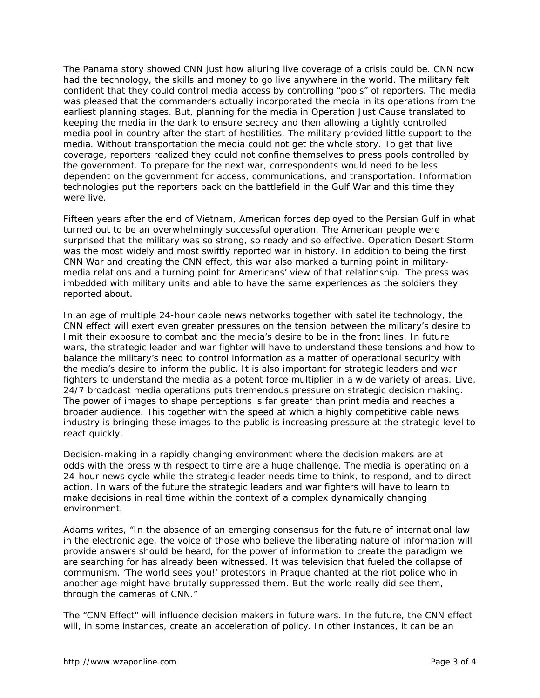The Panama story showed CNN just how alluring live coverage of a crisis could be. CNN now had the technology, the skills and money to go live anywhere in the world. The military felt confident that they could control media access by controlling "pools" of reporters. The media was pleased that the commanders actually incorporated the media in its operations from the earliest planning stages. But, planning for the media in Operation Just Cause translated to keeping the media in the dark to ensure secrecy and then allowing a tightly controlled media pool in country after the start of hostilities. The military provided little support to the media. Without transportation the media could not get the whole story. To get that live coverage, reporters realized they could not confine themselves to press pools controlled by the government. To prepare for the next war, correspondents would need to be less dependent on the government for access, communications, and transportation. Information technologies put the reporters back on the battlefield in the Gulf War and this time they were live.

Fifteen years after the end of Vietnam, American forces deployed to the Persian Gulf in what turned out to be an overwhelmingly successful operation. The American people were surprised that the military was so strong, so ready and so effective. Operation Desert Storm was the most widely and most swiftly reported war in history. In addition to being the first CNN War and creating the CNN effect, this war also marked a turning point in militarymedia relations and a turning point for Americans' view of that relationship. The press was imbedded with military units and able to have the same experiences as the soldiers they reported about.

In an age of multiple 24-hour cable news networks together with satellite technology, the CNN effect will exert even greater pressures on the tension between the military's desire to limit their exposure to combat and the media's desire to be in the front lines. In future wars, the strategic leader and war fighter will have to understand these tensions and how to balance the military's need to control information as a matter of operational security with the media's desire to inform the public. It is also important for strategic leaders and war fighters to understand the media as a potent force multiplier in a wide variety of areas. Live, 24/7 broadcast media operations puts tremendous pressure on strategic decision making. The power of images to shape perceptions is far greater than print media and reaches a broader audience. This together with the speed at which a highly competitive cable news industry is bringing these images to the public is increasing pressure at the strategic level to react quickly.

Decision-making in a rapidly changing environment where the decision makers are at odds with the press with respect to time are a huge challenge. The media is operating on a 24-hour news cycle while the strategic leader needs time to think, to respond, and to direct action. In wars of the future the strategic leaders and war fighters will have to learn to make decisions in real time within the context of a complex dynamically changing environment.

Adams writes, "In the absence of an emerging consensus for the future of international law in the electronic age, the voice of those who believe the liberating nature of information will provide answers should be heard, for the power of information to create the paradigm we are searching for has already been witnessed. It was television that fueled the collapse of communism. 'The world sees you!' protestors in Prague chanted at the riot police who in another age might have brutally suppressed them. But the world really did see them, through the cameras of CNN."

The "CNN Effect" will influence decision makers in future wars. In the future, the CNN effect will, in some instances, create an acceleration of policy. In other instances, it can be an